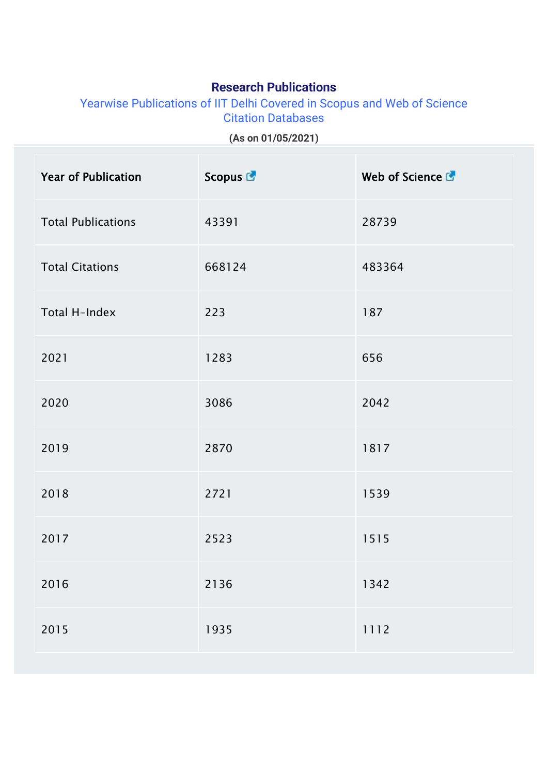## **Research Publications**

Yearwise Publications of IIT Delhi Covered in Scopus and Web of Science Citation Databases

**(As on 01/05/2021)**

| <b>Year of Publication</b> | Scopus <sup>C</sup> | Web of Science & |
|----------------------------|---------------------|------------------|
| <b>Total Publications</b>  | 43391               | 28739            |
| <b>Total Citations</b>     | 668124              | 483364           |
| Total H-Index              | 223                 | 187              |
| 2021                       | 1283                | 656              |
| 2020                       | 3086                | 2042             |
| 2019                       | 2870                | 1817             |
| 2018                       | 2721                | 1539             |
| 2017                       | 2523                | 1515             |
| 2016                       | 2136                | 1342             |
| 2015                       | 1935                | 1112             |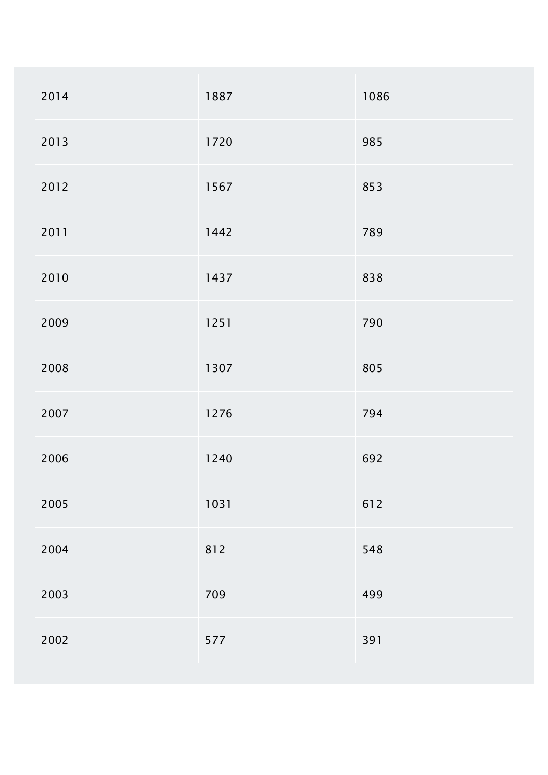| 2014 | 1887 | 1086 |
|------|------|------|
| 2013 | 1720 | 985  |
| 2012 | 1567 | 853  |
| 2011 | 1442 | 789  |
| 2010 | 1437 | 838  |
| 2009 | 1251 | 790  |
| 2008 | 1307 | 805  |
| 2007 | 1276 | 794  |
| 2006 | 1240 | 692  |
| 2005 | 1031 | 612  |
| 2004 | 812  | 548  |
| 2003 | 709  | 499  |
| 2002 | 577  | 391  |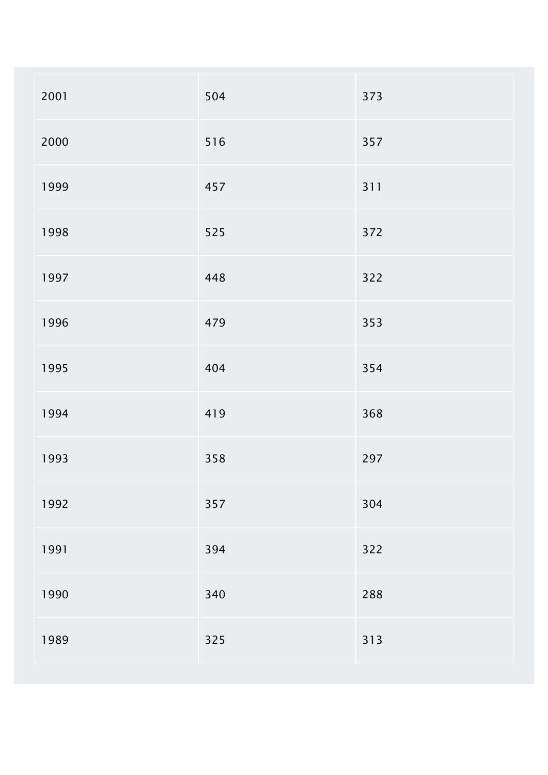| 2001 | 504 | 373 |
|------|-----|-----|
| 2000 | 516 | 357 |
| 1999 | 457 | 311 |
| 1998 | 525 | 372 |
| 1997 | 448 | 322 |
| 1996 | 479 | 353 |
| 1995 | 404 | 354 |
| 1994 | 419 | 368 |
| 1993 | 358 | 297 |
| 1992 | 357 | 304 |
| 1991 | 394 | 322 |
| 1990 | 340 | 288 |
| 1989 | 325 | 313 |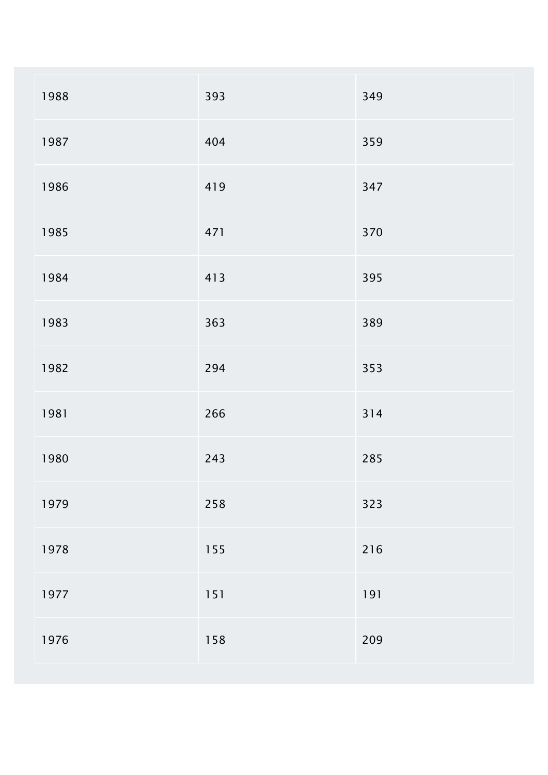| 1988 | 393 | 349 |
|------|-----|-----|
| 1987 | 404 | 359 |
| 1986 | 419 | 347 |
| 1985 | 471 | 370 |
| 1984 | 413 | 395 |
| 1983 | 363 | 389 |
| 1982 | 294 | 353 |
| 1981 | 266 | 314 |
| 1980 | 243 | 285 |
| 1979 | 258 | 323 |
| 1978 | 155 | 216 |
| 1977 | 151 | 191 |
| 1976 | 158 | 209 |